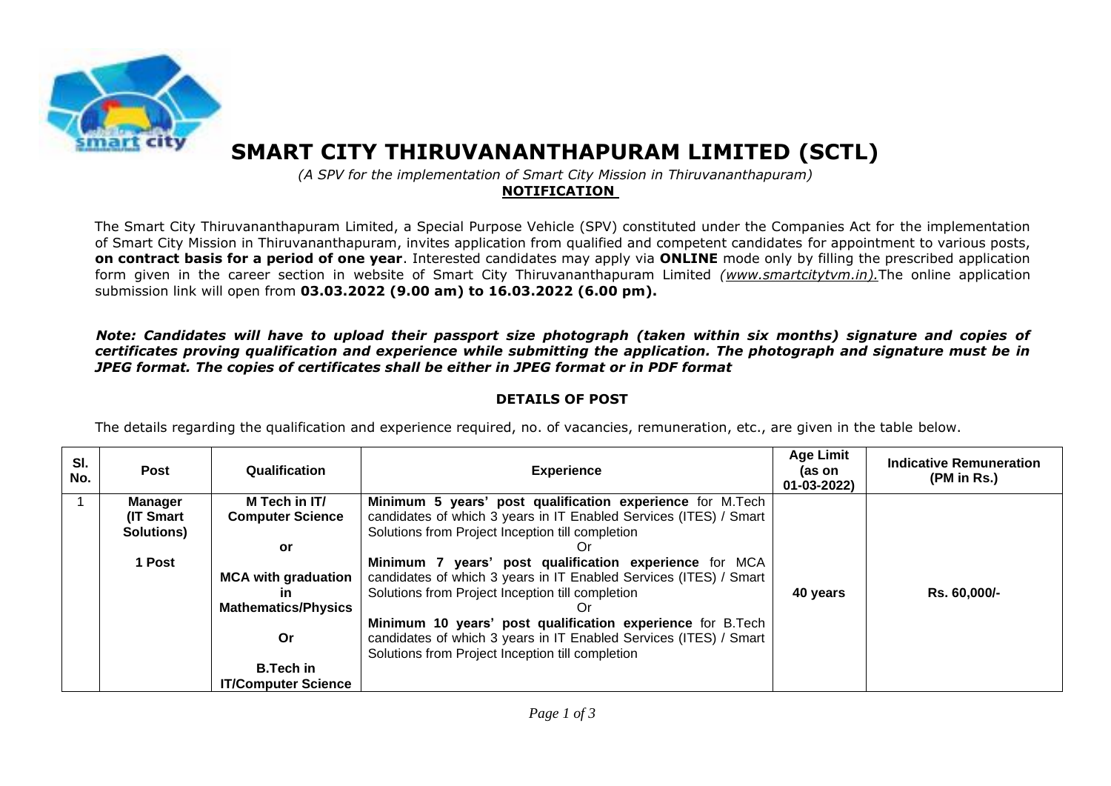

## **SMART CITY THIRUVANANTHAPURAM LIMITED (SCTL)**

 *(A SPV for the implementation of Smart City Mission in Thiruvananthapuram)*

**NOTIFICATION**

The Smart City Thiruvananthapuram Limited, a Special Purpose Vehicle (SPV) constituted under the Companies Act for the implementation of Smart City Mission in Thiruvananthapuram, invites application from qualified and competent candidates for appointment to various posts, **on contract basis for a period of one year**. Interested candidates may apply via **ONLINE** mode only by filling the prescribed application form given in the career section in website of Smart City Thiruvananthapuram Limited *(www.smartcitytvm.in).*The online application submission link will open from **03.03.2022 (9.00 am) to 16.03.2022 (6.00 pm).** 

*Note: Candidates will have to upload their passport size photograph (taken within six months) signature and copies of certificates proving qualification and experience while submitting the application. The photograph and signature must be in JPEG format. The copies of certificates shall be either in JPEG format or in PDF format*

## **DETAILS OF POST**

The details regarding the qualification and experience required, no. of vacancies, remuneration, etc., are given in the table below.

| SI.<br>No. | <b>Post</b>                                   | Qualification                                                                                                                                                             | <b>Experience</b>                                                                                                                                                                                                                                                                                                                                                                                                                                                                                                                                            | <b>Age Limit</b><br>(as on<br>$01-03-2022$ | <b>Indicative Remuneration</b><br>(PM in Rs.) |
|------------|-----------------------------------------------|---------------------------------------------------------------------------------------------------------------------------------------------------------------------------|--------------------------------------------------------------------------------------------------------------------------------------------------------------------------------------------------------------------------------------------------------------------------------------------------------------------------------------------------------------------------------------------------------------------------------------------------------------------------------------------------------------------------------------------------------------|--------------------------------------------|-----------------------------------------------|
|            | Manager<br>(IT Smart)<br>Solutions)<br>1 Post | M Tech in IT/<br><b>Computer Science</b><br>or<br><b>MCA with graduation</b><br>in.<br><b>Mathematics/Physics</b><br>Or<br><b>B.Tech in</b><br><b>IT/Computer Science</b> | Minimum 5 years' post qualification experience for M.Tech<br>candidates of which 3 years in IT Enabled Services (ITES) / Smart<br>Solutions from Project Inception till completion<br>Minimum 7 years' post qualification experience for MCA<br>candidates of which 3 years in IT Enabled Services (ITES) / Smart<br>Solutions from Project Inception till completion<br>Minimum 10 years' post qualification experience for B.Tech<br>candidates of which 3 years in IT Enabled Services (ITES) / Smart<br>Solutions from Project Inception till completion | 40 years                                   | Rs. 60,000/-                                  |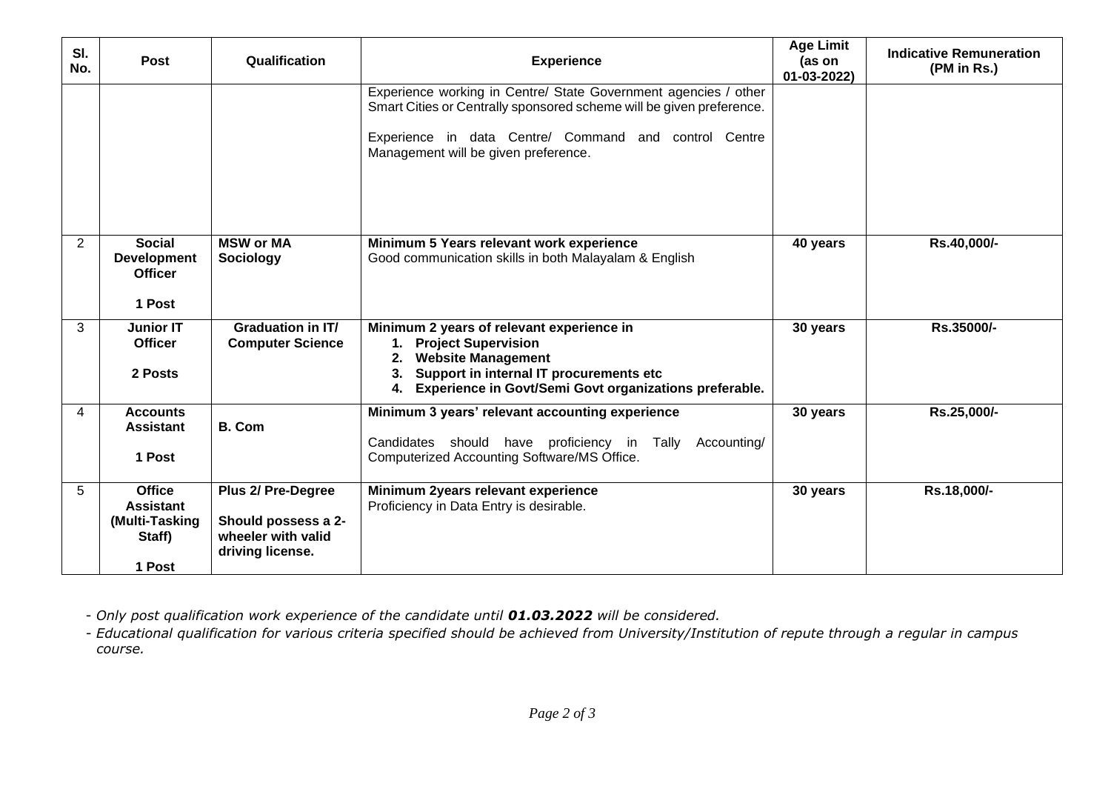| SI.<br>No. | <b>Post</b>                                                             | Qualification                                                                       | <b>Experience</b>                                                                                                                                                                                                                        | <b>Age Limit</b><br>(as on<br>$01-03-2022$ | <b>Indicative Remuneration</b><br>(PM in Rs.) |
|------------|-------------------------------------------------------------------------|-------------------------------------------------------------------------------------|------------------------------------------------------------------------------------------------------------------------------------------------------------------------------------------------------------------------------------------|--------------------------------------------|-----------------------------------------------|
|            |                                                                         |                                                                                     | Experience working in Centre/ State Government agencies / other<br>Smart Cities or Centrally sponsored scheme will be given preference.<br>Experience in data Centre/ Command and control Centre<br>Management will be given preference. |                                            |                                               |
| 2          | <b>Social</b><br><b>Development</b><br><b>Officer</b><br>1 Post         | <b>MSW or MA</b><br>Sociology                                                       | Minimum 5 Years relevant work experience<br>Good communication skills in both Malayalam & English                                                                                                                                        | 40 years                                   | Rs.40,000/-                                   |
| 3          | <b>Junior IT</b><br><b>Officer</b><br>2 Posts                           | <b>Graduation in IT/</b><br><b>Computer Science</b>                                 | Minimum 2 years of relevant experience in<br><b>Project Supervision</b><br>1.<br><b>Website Management</b><br>2.<br>Support in internal IT procurements etc<br>3.<br>Experience in Govt/Semi Govt organizations preferable.<br>4.        | 30 years                                   | Rs.35000/-                                    |
| 4          | <b>Accounts</b><br><b>Assistant</b><br>1 Post                           | <b>B. Com</b>                                                                       | Minimum 3 years' relevant accounting experience<br>Candidates should have proficiency in Tally<br>Accounting/<br>Computerized Accounting Software/MS Office.                                                                             | 30 years                                   | Rs.25,000/-                                   |
| 5          | <b>Office</b><br><b>Assistant</b><br>(Multi-Tasking<br>Staff)<br>1 Post | Plus 2/ Pre-Degree<br>Should possess a 2-<br>wheeler with valid<br>driving license. | Minimum 2years relevant experience<br>Proficiency in Data Entry is desirable.                                                                                                                                                            | 30 years                                   | Rs.18,000/-                                   |

- *Only post qualification work experience of the candidate until 01.03.2022 will be considered.* 

*- Educational qualification for various criteria specified should be achieved from University/Institution of repute through a regular in campus course.*